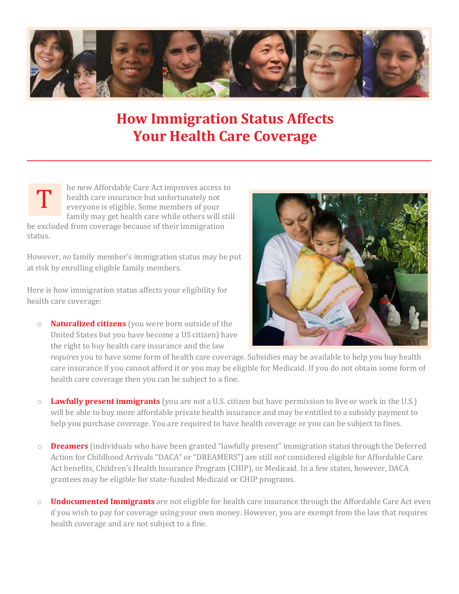

## **How Immigration Status Affects Your Health Care Coverage**

he new Affordable Care Act improves access to health care insurance but unfortunately not everyone is eligible. Some members of your family may get health care while others will still T

be excluded from coverage because of their immigration status.

However, *no* family member's immigration status may be put at risk by enrolling eligible family members.

Here is how immigration status affects your eligibility for health care coverage:

o **Naturalized citizens** (you were born outside of the United States but you have become a US citizen) have the right to buy health care insurance and the law



*requires* you to have some form of health care coverage. Subsidies may be available to help you buy health care insurance if you cannot afford it or you may be eligible for Medicaid. If you do not obtain some form of health care coverage then you can be subject to a fine.

- o **Lawfully present immigrants** (you are not a U.S. citizen but have permission to live or work in the U.S.) will be able to buy more affordable private health insurance and may be entitled to a subsidy payment to help you purchase coverage. You are required to have health coverage or you can be subject to fines.
- o **Dreamers** (individuals who have been granted "lawfully present" immigration status through the Deferred Action for Childhood Arrivals "DACA" or "DREAMERS") are still *not* considered eligible for Affordable Care Act benefits, Children's Health Insurance Program (CHIP), or Medicaid. In a few states, however, DACA grantees may be eligible for state-funded Medicaid or CHIP programs.
- o **Undocumented Immigrants** are not eligible for health care insurance through the Affordable Care Act even if you wish to pay for coverage using your own money. However, you are exempt from the law that requires health coverage and are not subject to a fine.